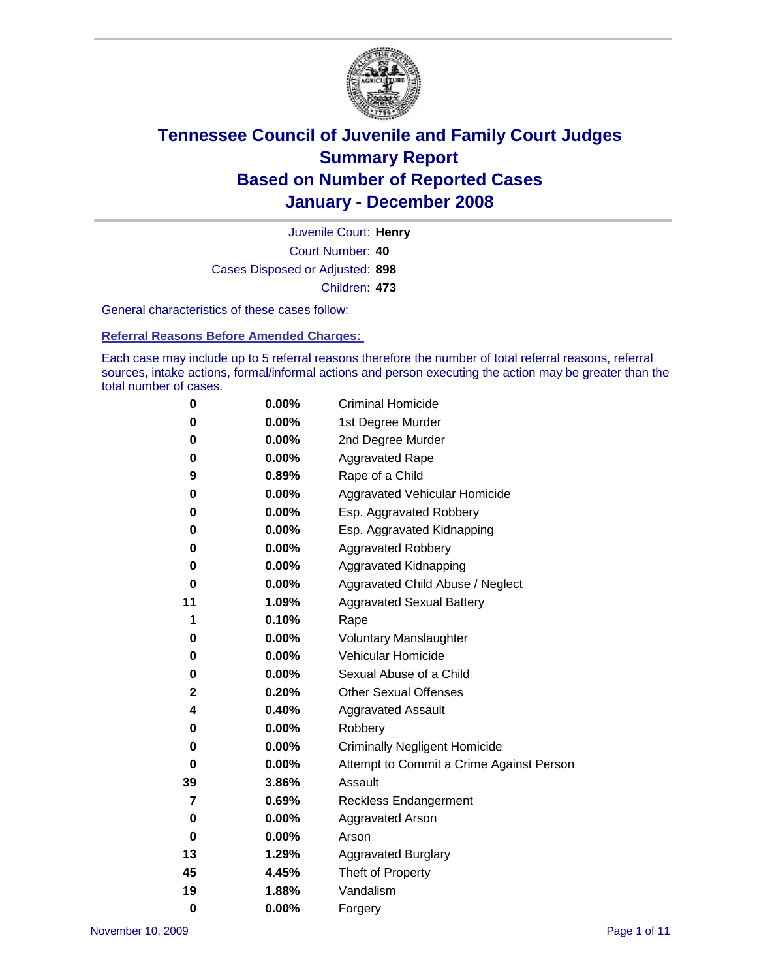

Court Number: **40** Juvenile Court: **Henry** Cases Disposed or Adjusted: **898** Children: **473**

General characteristics of these cases follow:

**Referral Reasons Before Amended Charges:** 

Each case may include up to 5 referral reasons therefore the number of total referral reasons, referral sources, intake actions, formal/informal actions and person executing the action may be greater than the total number of cases.

| 0  | 0.00%    | <b>Criminal Homicide</b>                 |
|----|----------|------------------------------------------|
| 0  | 0.00%    | 1st Degree Murder                        |
| 0  | $0.00\%$ | 2nd Degree Murder                        |
| 0  | 0.00%    | <b>Aggravated Rape</b>                   |
| 9  | 0.89%    | Rape of a Child                          |
| 0  | 0.00%    | Aggravated Vehicular Homicide            |
| 0  | 0.00%    | Esp. Aggravated Robbery                  |
| 0  | 0.00%    | Esp. Aggravated Kidnapping               |
| 0  | 0.00%    | <b>Aggravated Robbery</b>                |
| 0  | 0.00%    | Aggravated Kidnapping                    |
| 0  | 0.00%    | Aggravated Child Abuse / Neglect         |
| 11 | 1.09%    | <b>Aggravated Sexual Battery</b>         |
| 1  | 0.10%    | Rape                                     |
| 0  | 0.00%    | <b>Voluntary Manslaughter</b>            |
| 0  | 0.00%    | Vehicular Homicide                       |
| 0  | 0.00%    | Sexual Abuse of a Child                  |
| 2  | 0.20%    | <b>Other Sexual Offenses</b>             |
| 4  | 0.40%    | <b>Aggravated Assault</b>                |
| 0  | $0.00\%$ | Robbery                                  |
| 0  | 0.00%    | <b>Criminally Negligent Homicide</b>     |
| 0  | 0.00%    | Attempt to Commit a Crime Against Person |
| 39 | 3.86%    | Assault                                  |
| 7  | 0.69%    | <b>Reckless Endangerment</b>             |
| 0  | 0.00%    | <b>Aggravated Arson</b>                  |
| 0  | 0.00%    | Arson                                    |
| 13 | 1.29%    | <b>Aggravated Burglary</b>               |
| 45 | 4.45%    | Theft of Property                        |
| 19 | 1.88%    | Vandalism                                |
| 0  | 0.00%    | Forgery                                  |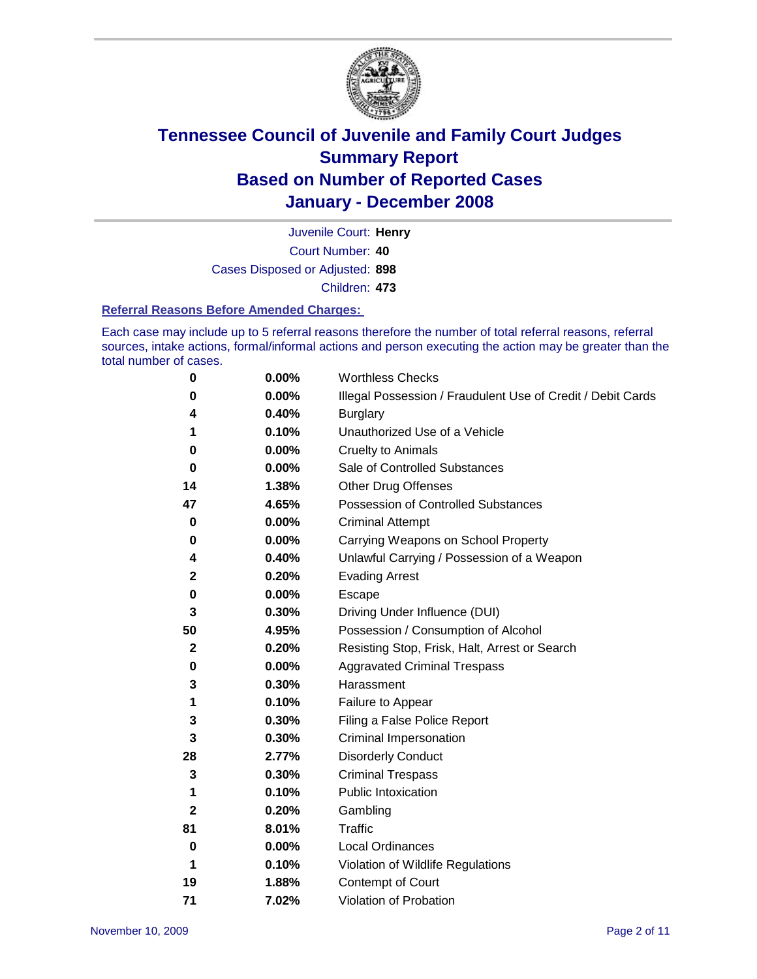

Court Number: **40** Juvenile Court: **Henry** Cases Disposed or Adjusted: **898** Children: **473**

#### **Referral Reasons Before Amended Charges:**

Each case may include up to 5 referral reasons therefore the number of total referral reasons, referral sources, intake actions, formal/informal actions and person executing the action may be greater than the total number of cases.

| 0            | 0.00% | <b>Worthless Checks</b>                                     |
|--------------|-------|-------------------------------------------------------------|
| 0            | 0.00% | Illegal Possession / Fraudulent Use of Credit / Debit Cards |
| 4            | 0.40% | <b>Burglary</b>                                             |
| 1            | 0.10% | Unauthorized Use of a Vehicle                               |
| 0            | 0.00% | <b>Cruelty to Animals</b>                                   |
| 0            | 0.00% | Sale of Controlled Substances                               |
| 14           | 1.38% | <b>Other Drug Offenses</b>                                  |
| 47           | 4.65% | Possession of Controlled Substances                         |
| 0            | 0.00% | <b>Criminal Attempt</b>                                     |
| 0            | 0.00% | Carrying Weapons on School Property                         |
| 4            | 0.40% | Unlawful Carrying / Possession of a Weapon                  |
| 2            | 0.20% | <b>Evading Arrest</b>                                       |
| 0            | 0.00% | Escape                                                      |
| 3            | 0.30% | Driving Under Influence (DUI)                               |
| 50           | 4.95% | Possession / Consumption of Alcohol                         |
| $\mathbf{2}$ | 0.20% | Resisting Stop, Frisk, Halt, Arrest or Search               |
| 0            | 0.00% | <b>Aggravated Criminal Trespass</b>                         |
| 3            | 0.30% | Harassment                                                  |
| 1            | 0.10% | Failure to Appear                                           |
| 3            | 0.30% | Filing a False Police Report                                |
| 3            | 0.30% | Criminal Impersonation                                      |
| 28           | 2.77% | <b>Disorderly Conduct</b>                                   |
| 3            | 0.30% | <b>Criminal Trespass</b>                                    |
| 1            | 0.10% | <b>Public Intoxication</b>                                  |
| 2            | 0.20% | Gambling                                                    |
| 81           | 8.01% | Traffic                                                     |
| 0            | 0.00% | <b>Local Ordinances</b>                                     |
| 1            | 0.10% | Violation of Wildlife Regulations                           |
| 19           | 1.88% | Contempt of Court                                           |
| 71           | 7.02% | Violation of Probation                                      |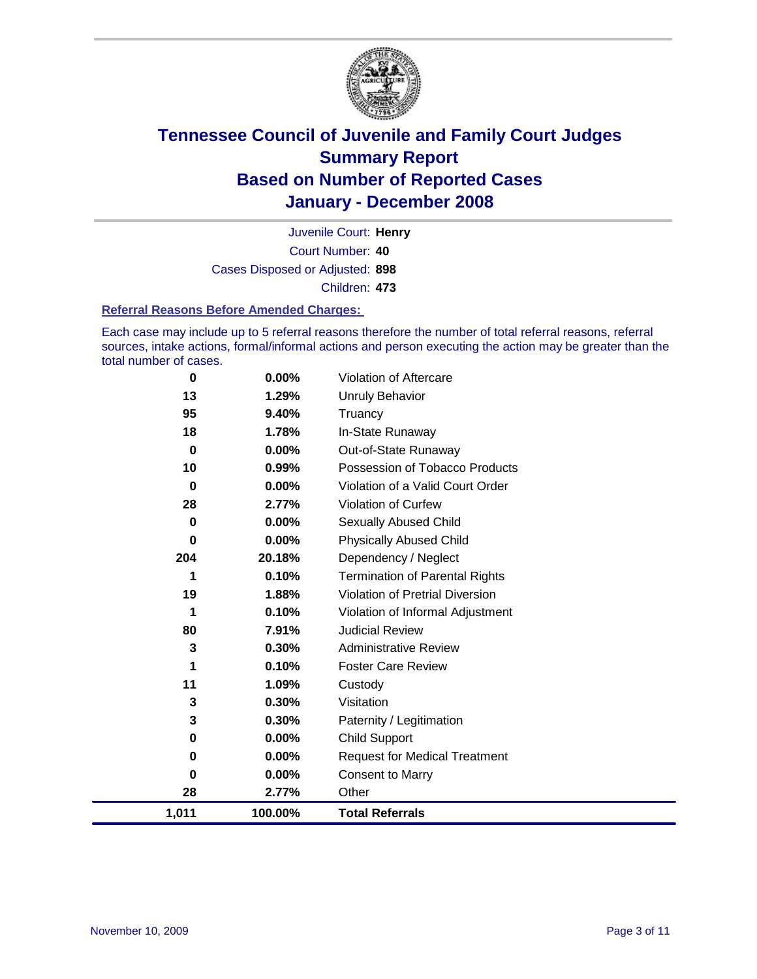

Court Number: **40** Juvenile Court: **Henry** Cases Disposed or Adjusted: **898** Children: **473**

#### **Referral Reasons Before Amended Charges:**

Each case may include up to 5 referral reasons therefore the number of total referral reasons, referral sources, intake actions, formal/informal actions and person executing the action may be greater than the total number of cases.

| 0        | 0.00%    | Violation of Aftercare                 |
|----------|----------|----------------------------------------|
| 13       | 1.29%    | <b>Unruly Behavior</b>                 |
| 95       | 9.40%    | Truancy                                |
| 18       | 1.78%    | In-State Runaway                       |
| $\bf{0}$ | $0.00\%$ | Out-of-State Runaway                   |
| 10       | 0.99%    | Possession of Tobacco Products         |
| $\bf{0}$ | $0.00\%$ | Violation of a Valid Court Order       |
| 28       | 2.77%    | Violation of Curfew                    |
| 0        | $0.00\%$ | Sexually Abused Child                  |
| $\bf{0}$ | $0.00\%$ | <b>Physically Abused Child</b>         |
| 204      | 20.18%   | Dependency / Neglect                   |
| 1        | 0.10%    | <b>Termination of Parental Rights</b>  |
| 19       | 1.88%    | <b>Violation of Pretrial Diversion</b> |
| 1        | 0.10%    | Violation of Informal Adjustment       |
| 80       | 7.91%    | <b>Judicial Review</b>                 |
| 3        | 0.30%    | <b>Administrative Review</b>           |
| 1        | 0.10%    | <b>Foster Care Review</b>              |
| 11       | 1.09%    | Custody                                |
| 3        | 0.30%    | Visitation                             |
| 3        | 0.30%    | Paternity / Legitimation               |
| 0        | $0.00\%$ | <b>Child Support</b>                   |
| 0        | $0.00\%$ | <b>Request for Medical Treatment</b>   |
| 0        | 0.00%    | <b>Consent to Marry</b>                |
| 28       | 2.77%    | Other                                  |
| 1,011    | 100.00%  | <b>Total Referrals</b>                 |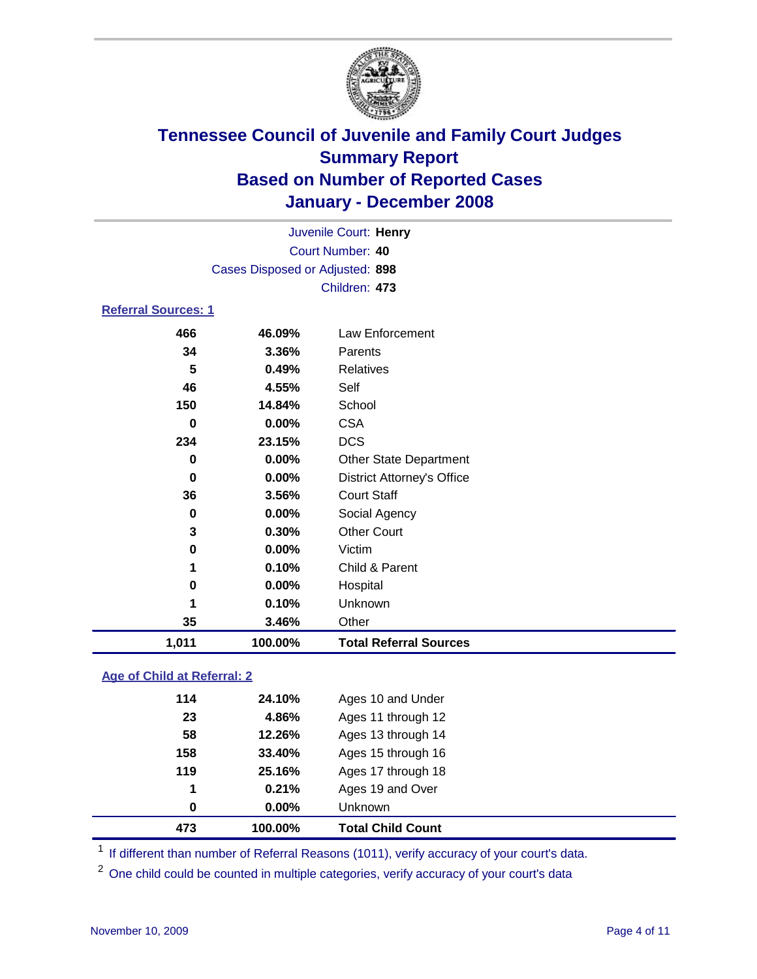

| Juvenile Court: Henry           |  |
|---------------------------------|--|
| Court Number: 40                |  |
| Cases Disposed or Adjusted: 898 |  |
| Children: 473                   |  |
| <b>Referral Sources: 1</b>      |  |

| 1,011 | 100.00%  | <b>Total Referral Sources</b>     |
|-------|----------|-----------------------------------|
| 35    | 3.46%    | Other                             |
|       | 0.10%    | Unknown                           |
| 0     | 0.00%    | Hospital                          |
| 1     | 0.10%    | Child & Parent                    |
| 0     | 0.00%    | Victim                            |
| 3     | 0.30%    | <b>Other Court</b>                |
| 0     | $0.00\%$ | Social Agency                     |
| 36    | 3.56%    | <b>Court Staff</b>                |
| 0     | $0.00\%$ | <b>District Attorney's Office</b> |
| 0     | 0.00%    | <b>Other State Department</b>     |
| 234   | 23.15%   | <b>DCS</b>                        |
| 0     | 0.00%    | <b>CSA</b>                        |
| 150   | 14.84%   | School                            |
| 46    | 4.55%    | Self                              |
| 5     | 0.49%    | <b>Relatives</b>                  |
| 34    | 3.36%    | Parents                           |
| 466   | 46.09%   | Law Enforcement                   |

### **Age of Child at Referral: 2**

| $\bf{0}$ | $0.00\%$ | Unknown            |
|----------|----------|--------------------|
| 1        | 0.21%    | Ages 19 and Over   |
| 119      | 25.16%   | Ages 17 through 18 |
| 158      | 33.40%   | Ages 15 through 16 |
| 58       | 12.26%   | Ages 13 through 14 |
| 23       | 4.86%    | Ages 11 through 12 |
| 114      | 24.10%   | Ages 10 and Under  |
|          |          | 100.00%            |

<sup>1</sup> If different than number of Referral Reasons (1011), verify accuracy of your court's data.

One child could be counted in multiple categories, verify accuracy of your court's data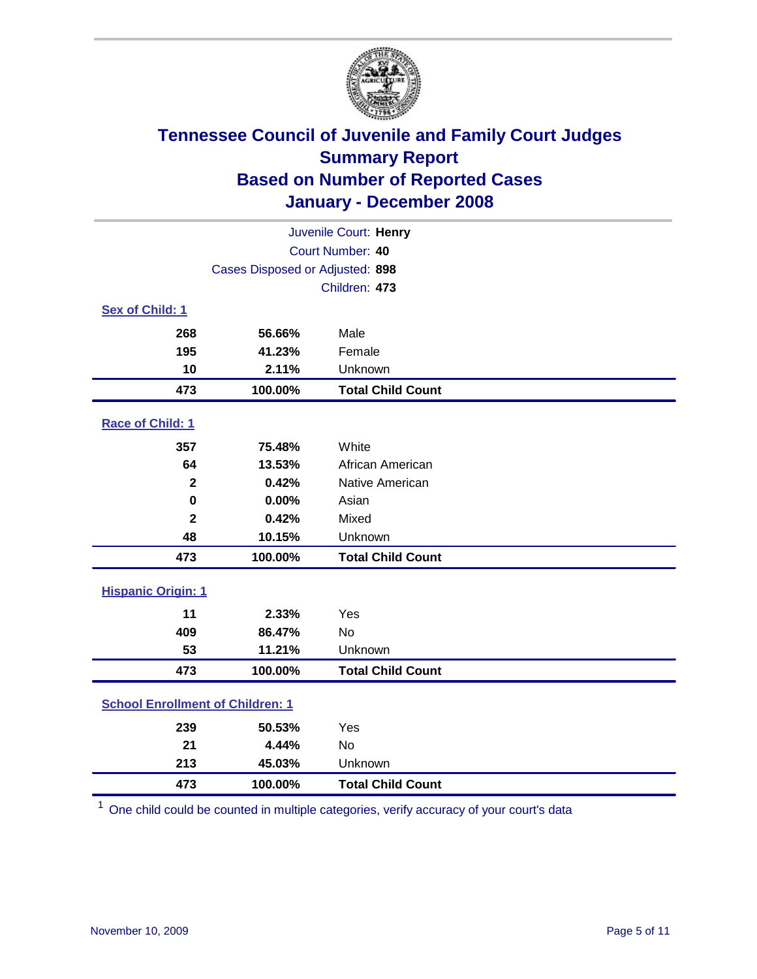

| Juvenile Court: Henry                   |                                 |                          |  |  |  |
|-----------------------------------------|---------------------------------|--------------------------|--|--|--|
|                                         | Court Number: 40                |                          |  |  |  |
|                                         | Cases Disposed or Adjusted: 898 |                          |  |  |  |
|                                         |                                 | Children: 473            |  |  |  |
| Sex of Child: 1                         |                                 |                          |  |  |  |
| 268                                     | 56.66%                          | Male                     |  |  |  |
| 195                                     | 41.23%                          | Female                   |  |  |  |
| 10                                      | 2.11%                           | Unknown                  |  |  |  |
| 473                                     | 100.00%                         | <b>Total Child Count</b> |  |  |  |
| Race of Child: 1                        |                                 |                          |  |  |  |
| 357                                     | 75.48%                          | White                    |  |  |  |
| 64                                      | 13.53%                          | African American         |  |  |  |
| $\mathbf 2$                             | 0.42%                           | Native American          |  |  |  |
| $\mathbf 0$                             | 0.00%                           | Asian                    |  |  |  |
| $\overline{\mathbf{2}}$                 | 0.42%                           | Mixed                    |  |  |  |
| 48                                      | 10.15%                          | Unknown                  |  |  |  |
| 473                                     | 100.00%                         | <b>Total Child Count</b> |  |  |  |
| <b>Hispanic Origin: 1</b>               |                                 |                          |  |  |  |
| 11                                      | 2.33%                           | Yes                      |  |  |  |
| 409                                     | 86.47%                          | <b>No</b>                |  |  |  |
| 53                                      | 11.21%                          | Unknown                  |  |  |  |
| 473                                     | 100.00%                         | <b>Total Child Count</b> |  |  |  |
| <b>School Enrollment of Children: 1</b> |                                 |                          |  |  |  |
| 239                                     | 50.53%                          | Yes                      |  |  |  |
| 21                                      | 4.44%                           | No                       |  |  |  |
| 213                                     | 45.03%                          | Unknown                  |  |  |  |
| 473                                     | 100.00%                         | <b>Total Child Count</b> |  |  |  |

One child could be counted in multiple categories, verify accuracy of your court's data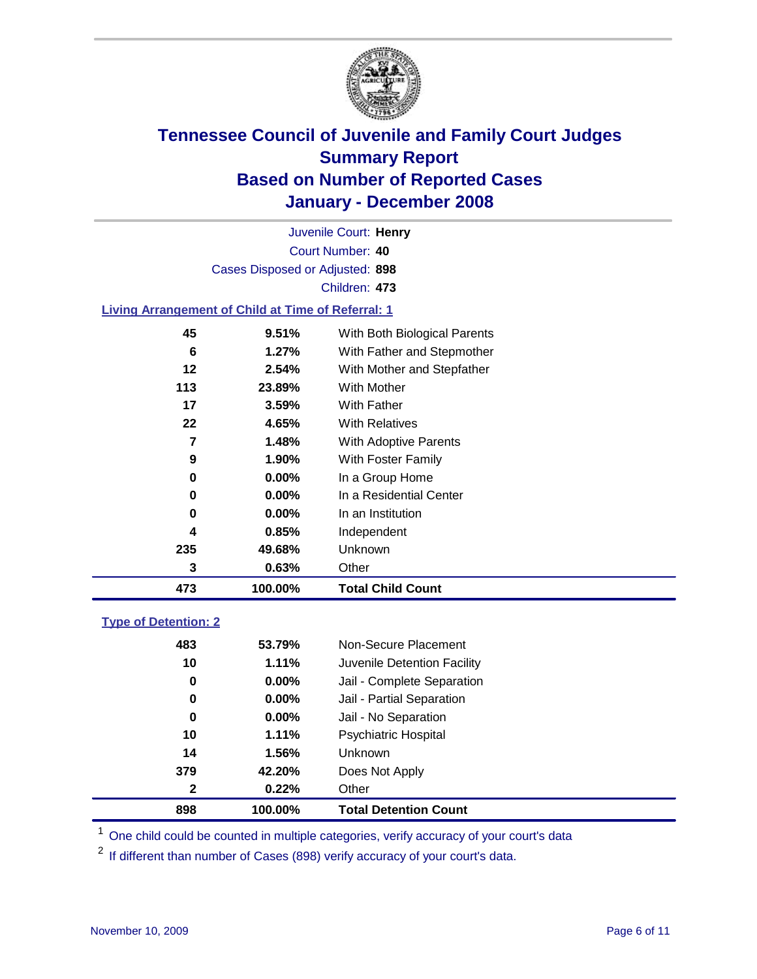

Court Number: **40** Juvenile Court: **Henry** Cases Disposed or Adjusted: **898** Children: **473**

#### **Living Arrangement of Child at Time of Referral: 1**

| 473 | 100.00%  | <b>Total Child Count</b>     |
|-----|----------|------------------------------|
| 3   | 0.63%    | Other                        |
| 235 | 49.68%   | Unknown                      |
| 4   | 0.85%    | Independent                  |
| 0   | $0.00\%$ | In an Institution            |
| 0   | $0.00\%$ | In a Residential Center      |
| 0   | $0.00\%$ | In a Group Home              |
| 9   | 1.90%    | With Foster Family           |
| 7   | 1.48%    | With Adoptive Parents        |
| 22  | 4.65%    | <b>With Relatives</b>        |
| 17  | 3.59%    | <b>With Father</b>           |
| 113 | 23.89%   | With Mother                  |
| 12  | 2.54%    | With Mother and Stepfather   |
| 6   | 1.27%    | With Father and Stepmother   |
| 45  | 9.51%    | With Both Biological Parents |
|     |          |                              |

### **Type of Detention: 2**

| 898          | 100.00%  | <b>Total Detention Count</b> |  |
|--------------|----------|------------------------------|--|
| $\mathbf{2}$ | 0.22%    | Other                        |  |
| 379          | 42.20%   | Does Not Apply               |  |
| 14           | 1.56%    | Unknown                      |  |
| 10           | 1.11%    | <b>Psychiatric Hospital</b>  |  |
| 0            | $0.00\%$ | Jail - No Separation         |  |
| 0            | $0.00\%$ | Jail - Partial Separation    |  |
| 0            | $0.00\%$ | Jail - Complete Separation   |  |
| 10           | 1.11%    | Juvenile Detention Facility  |  |
| 483          | 53.79%   | Non-Secure Placement         |  |
|              |          |                              |  |

<sup>1</sup> One child could be counted in multiple categories, verify accuracy of your court's data

<sup>2</sup> If different than number of Cases (898) verify accuracy of your court's data.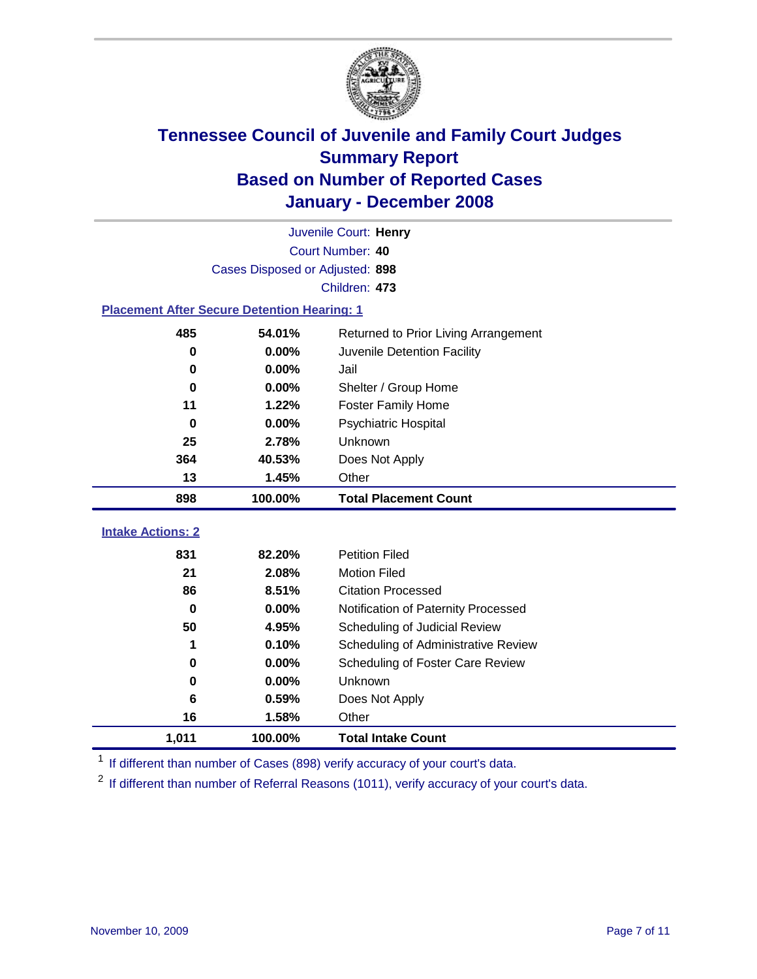

|                                                    | Juvenile Court: Henry |                                      |  |  |  |  |  |
|----------------------------------------------------|-----------------------|--------------------------------------|--|--|--|--|--|
| Court Number: 40                                   |                       |                                      |  |  |  |  |  |
| Cases Disposed or Adjusted: 898                    |                       |                                      |  |  |  |  |  |
|                                                    | Children: 473         |                                      |  |  |  |  |  |
| <b>Placement After Secure Detention Hearing: 1</b> |                       |                                      |  |  |  |  |  |
| 485                                                | 54.01%                | Returned to Prior Living Arrangement |  |  |  |  |  |
| $\bf{0}$                                           | 0.00%                 | Juvenile Detention Facility          |  |  |  |  |  |
| 0                                                  | 0.00%                 | Jail                                 |  |  |  |  |  |
| 0                                                  | 0.00%                 | Shelter / Group Home                 |  |  |  |  |  |
| 11                                                 | 1.22%                 | <b>Foster Family Home</b>            |  |  |  |  |  |
| $\bf{0}$                                           | 0.00%                 | Psychiatric Hospital                 |  |  |  |  |  |
| 25                                                 | 2.78%                 | Unknown                              |  |  |  |  |  |
| 364                                                | 40.53%                | Does Not Apply                       |  |  |  |  |  |
| 13                                                 | 1.45%                 | Other                                |  |  |  |  |  |
| 898                                                | 100.00%               | <b>Total Placement Count</b>         |  |  |  |  |  |
| <b>Intake Actions: 2</b>                           |                       |                                      |  |  |  |  |  |
|                                                    |                       |                                      |  |  |  |  |  |
| 831                                                | 82.20%                | <b>Petition Filed</b>                |  |  |  |  |  |
| 21                                                 | 2.08%                 | <b>Motion Filed</b>                  |  |  |  |  |  |
| 86                                                 | 8.51%                 | <b>Citation Processed</b>            |  |  |  |  |  |
| $\bf{0}$                                           | 0.00%                 | Notification of Paternity Processed  |  |  |  |  |  |
| 50                                                 | 4.95%                 | Scheduling of Judicial Review        |  |  |  |  |  |
| 1                                                  | 0.10%                 | Scheduling of Administrative Review  |  |  |  |  |  |
| 0                                                  | 0.00%                 | Scheduling of Foster Care Review     |  |  |  |  |  |
| $\bf{0}$                                           | 0.00%                 | Unknown                              |  |  |  |  |  |
| 6                                                  | 0.59%                 | Does Not Apply                       |  |  |  |  |  |
| 16                                                 | 1.58%                 | Other                                |  |  |  |  |  |
| 1,011                                              | 100.00%               | <b>Total Intake Count</b>            |  |  |  |  |  |

<sup>1</sup> If different than number of Cases (898) verify accuracy of your court's data.

<sup>2</sup> If different than number of Referral Reasons (1011), verify accuracy of your court's data.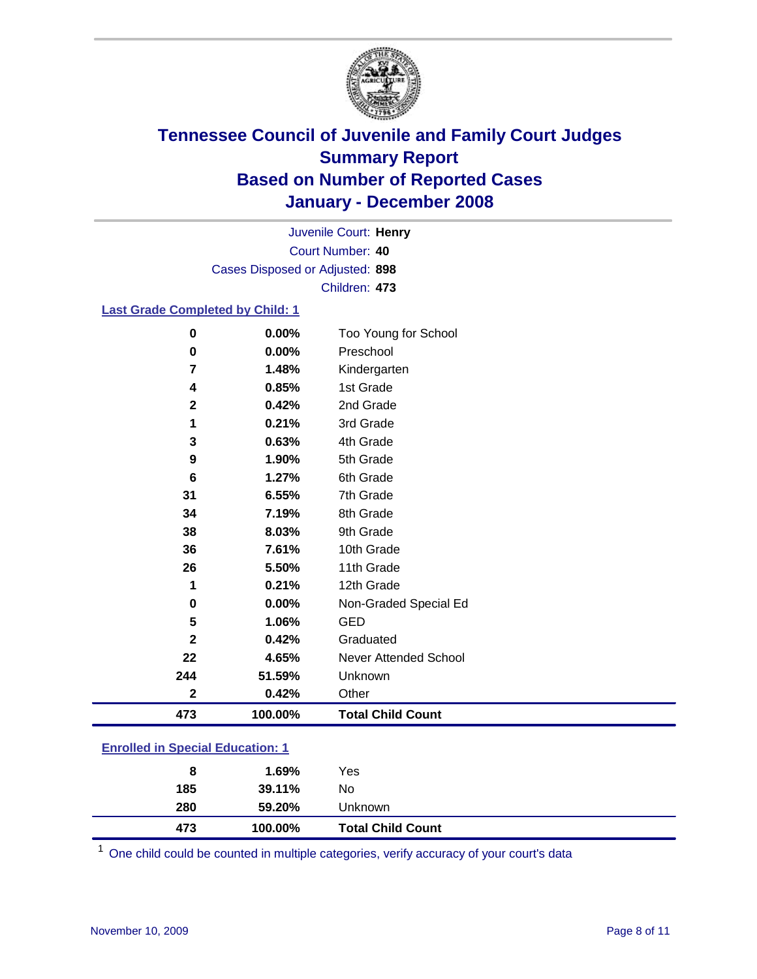

Court Number: **40** Juvenile Court: **Henry** Cases Disposed or Adjusted: **898** Children: **473**

### **Last Grade Completed by Child: 1**

| 0           | 0.00%   | Too Young for School     |
|-------------|---------|--------------------------|
| 0           | 0.00%   | Preschool                |
| 7           | 1.48%   | Kindergarten             |
| 4           | 0.85%   | 1st Grade                |
| $\mathbf 2$ | 0.42%   | 2nd Grade                |
| 1           | 0.21%   | 3rd Grade                |
| 3           | 0.63%   | 4th Grade                |
| 9           | 1.90%   | 5th Grade                |
| 6           | 1.27%   | 6th Grade                |
| 31          | 6.55%   | 7th Grade                |
| 34          | 7.19%   | 8th Grade                |
| 38          | 8.03%   | 9th Grade                |
| 36          | 7.61%   | 10th Grade               |
| 26          | 5.50%   | 11th Grade               |
| 1           | 0.21%   | 12th Grade               |
| 0           | 0.00%   | Non-Graded Special Ed    |
| 5           | 1.06%   | <b>GED</b>               |
| $\mathbf 2$ | 0.42%   | Graduated                |
| 22          | 4.65%   | Never Attended School    |
| 244         | 51.59%  | Unknown                  |
| $\mathbf 2$ | 0.42%   | Other                    |
| 473         | 100.00% | <b>Total Child Count</b> |

### **Enrolled in Special Education: 1**

| 8<br>185 | 1.69%<br>39.11% | Yes<br>No                |  |
|----------|-----------------|--------------------------|--|
| 280      | 59.20%          | Unknown                  |  |
| 473      | 100.00%         | <b>Total Child Count</b> |  |

One child could be counted in multiple categories, verify accuracy of your court's data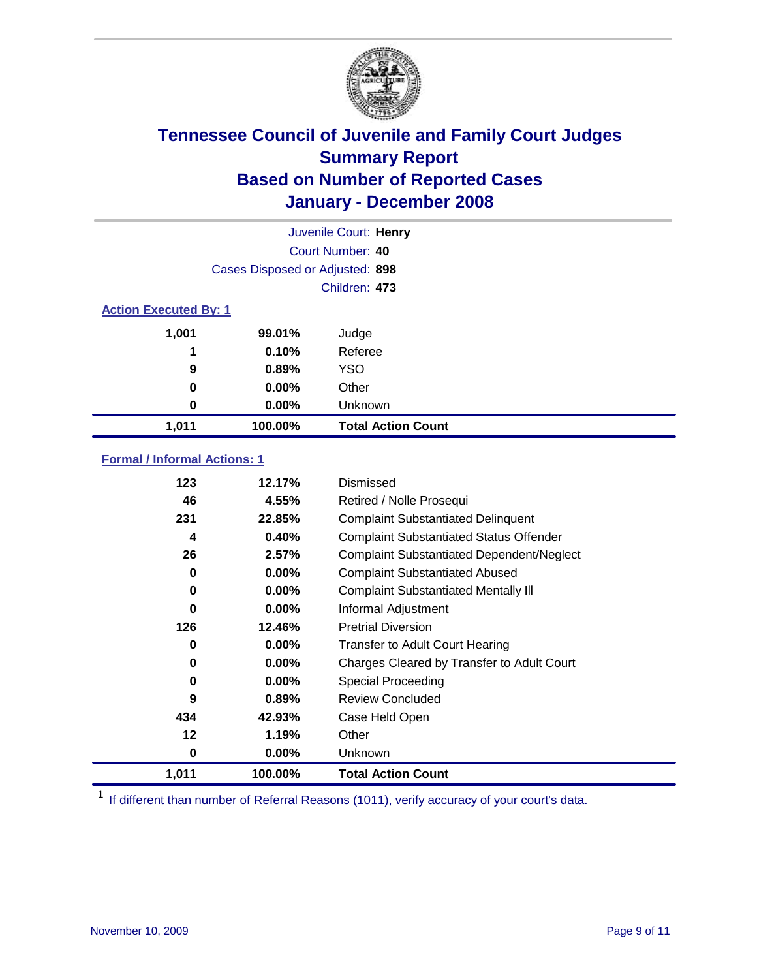

|                              |                                 | Juvenile Court: Henry     |
|------------------------------|---------------------------------|---------------------------|
| Court Number: 40             |                                 |                           |
|                              | Cases Disposed or Adjusted: 898 |                           |
|                              |                                 | Children: 473             |
| <b>Action Executed By: 1</b> |                                 |                           |
| 1,001                        | 99.01%                          | Judge                     |
| 1                            | 0.10%                           | Referee                   |
| 9                            | 0.89%                           | <b>YSO</b>                |
| 0                            | $0.00\%$                        | Other                     |
| 0                            | $0.00\%$                        | Unknown                   |
| 1,011                        | 100.00%                         | <b>Total Action Count</b> |

### **Formal / Informal Actions: 1**

| 123   | 12.17%   | Dismissed                                        |
|-------|----------|--------------------------------------------------|
| 46    | 4.55%    | Retired / Nolle Prosequi                         |
| 231   | 22.85%   | <b>Complaint Substantiated Delinquent</b>        |
| 4     | 0.40%    | <b>Complaint Substantiated Status Offender</b>   |
| 26    | 2.57%    | <b>Complaint Substantiated Dependent/Neglect</b> |
| 0     | $0.00\%$ | <b>Complaint Substantiated Abused</b>            |
| 0     | $0.00\%$ | <b>Complaint Substantiated Mentally III</b>      |
| 0     | $0.00\%$ | Informal Adjustment                              |
| 126   | 12.46%   | <b>Pretrial Diversion</b>                        |
| 0     | $0.00\%$ | <b>Transfer to Adult Court Hearing</b>           |
| 0     | $0.00\%$ | Charges Cleared by Transfer to Adult Court       |
| 0     | $0.00\%$ | Special Proceeding                               |
| 9     | 0.89%    | <b>Review Concluded</b>                          |
| 434   | 42.93%   | Case Held Open                                   |
| 12    | 1.19%    | Other                                            |
| 0     | $0.00\%$ | <b>Unknown</b>                                   |
| 1,011 | 100.00%  | <b>Total Action Count</b>                        |

<sup>1</sup> If different than number of Referral Reasons (1011), verify accuracy of your court's data.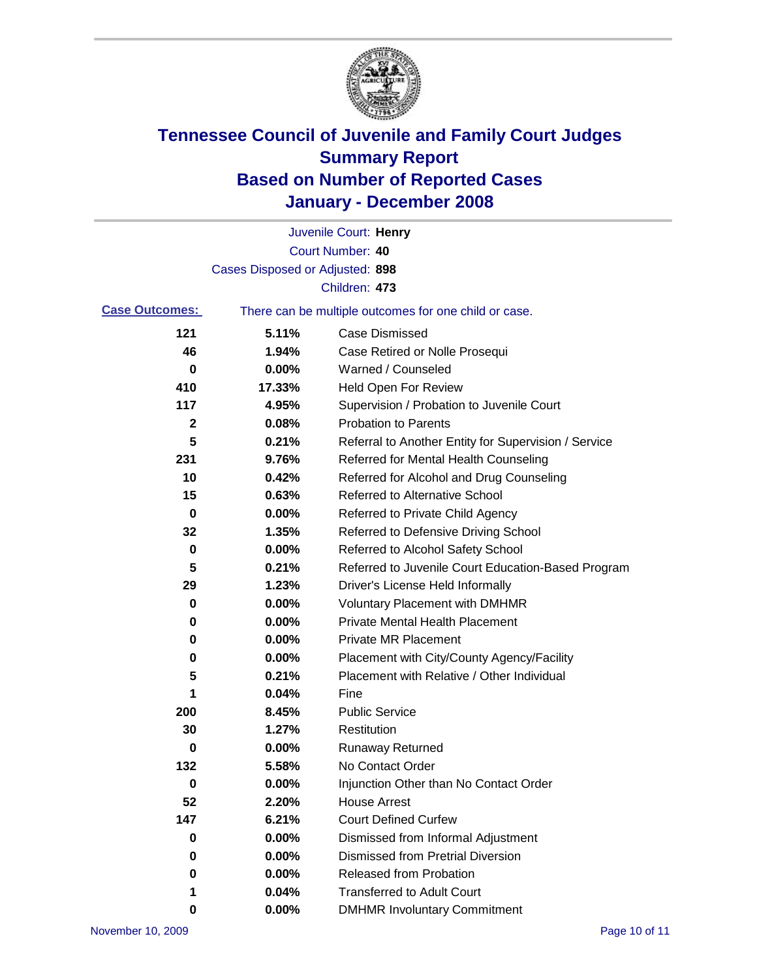

|                       |                                 | Juvenile Court: Henry                                 |
|-----------------------|---------------------------------|-------------------------------------------------------|
|                       |                                 | Court Number: 40                                      |
|                       | Cases Disposed or Adjusted: 898 |                                                       |
|                       |                                 | Children: 473                                         |
| <b>Case Outcomes:</b> |                                 | There can be multiple outcomes for one child or case. |
| 121                   | 5.11%                           | <b>Case Dismissed</b>                                 |
| 46                    | 1.94%                           | Case Retired or Nolle Prosequi                        |
| 0                     | 0.00%                           | Warned / Counseled                                    |
| 410                   | 17.33%                          | <b>Held Open For Review</b>                           |
| 117                   | 4.95%                           | Supervision / Probation to Juvenile Court             |
| 2                     | 0.08%                           | <b>Probation to Parents</b>                           |
| 5                     | 0.21%                           | Referral to Another Entity for Supervision / Service  |
| 231                   | 9.76%                           | Referred for Mental Health Counseling                 |
| 10                    | 0.42%                           | Referred for Alcohol and Drug Counseling              |
| 15                    | 0.63%                           | <b>Referred to Alternative School</b>                 |
| 0                     | 0.00%                           | Referred to Private Child Agency                      |
| 32                    | 1.35%                           | Referred to Defensive Driving School                  |
| 0                     | 0.00%                           | Referred to Alcohol Safety School                     |
| 5                     | 0.21%                           | Referred to Juvenile Court Education-Based Program    |
| 29                    | 1.23%                           | Driver's License Held Informally                      |
| 0                     | 0.00%                           | <b>Voluntary Placement with DMHMR</b>                 |
| 0                     | 0.00%                           | <b>Private Mental Health Placement</b>                |
| 0                     | 0.00%                           | <b>Private MR Placement</b>                           |
| 0                     | 0.00%                           | Placement with City/County Agency/Facility            |
| 5                     | 0.21%                           | Placement with Relative / Other Individual            |
| 1                     | 0.04%                           | Fine                                                  |
| 200                   | 8.45%                           | <b>Public Service</b>                                 |
| 30                    | 1.27%                           | Restitution                                           |
| 0                     | 0.00%                           | <b>Runaway Returned</b>                               |
| 132                   | 5.58%                           | No Contact Order                                      |
| $\bf{0}$              | 0.00%                           | Injunction Other than No Contact Order                |
| 52                    | 2.20%                           | <b>House Arrest</b>                                   |
| 147                   | 6.21%                           | <b>Court Defined Curfew</b>                           |
| 0                     | 0.00%                           | Dismissed from Informal Adjustment                    |
| 0                     | 0.00%                           | <b>Dismissed from Pretrial Diversion</b>              |
| $\bf{0}$              | 0.00%                           | Released from Probation                               |
| 1                     | 0.04%                           | <b>Transferred to Adult Court</b>                     |
| 0                     | 0.00%                           | <b>DMHMR Involuntary Commitment</b>                   |